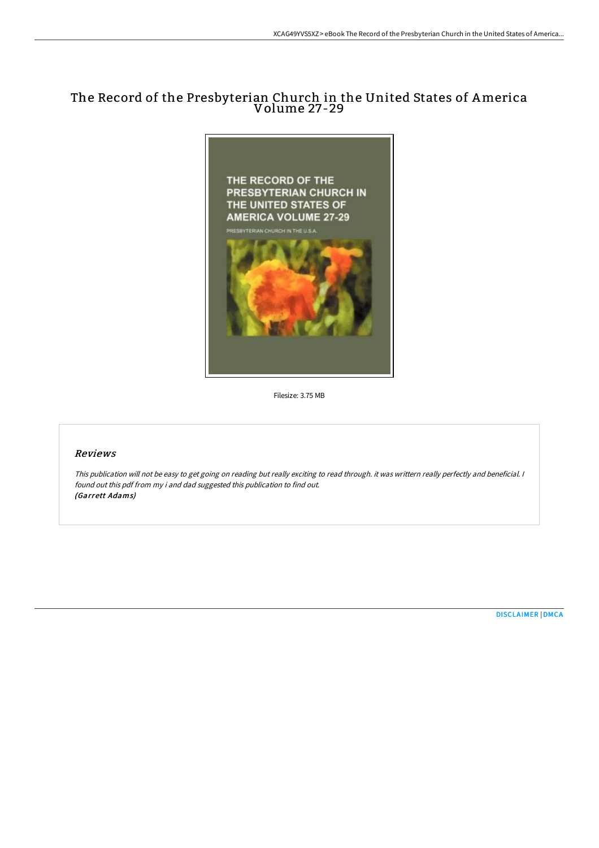# The Record of the Presbyterian Church in the United States of America Volume 27-29



Filesize: 3.75 MB

## Reviews

This publication will not be easy to get going on reading but really exciting to read through. it was writtern really perfectly and beneficial. <sup>I</sup> found out this pdf from my i and dad suggested this publication to find out. (Garrett Adams)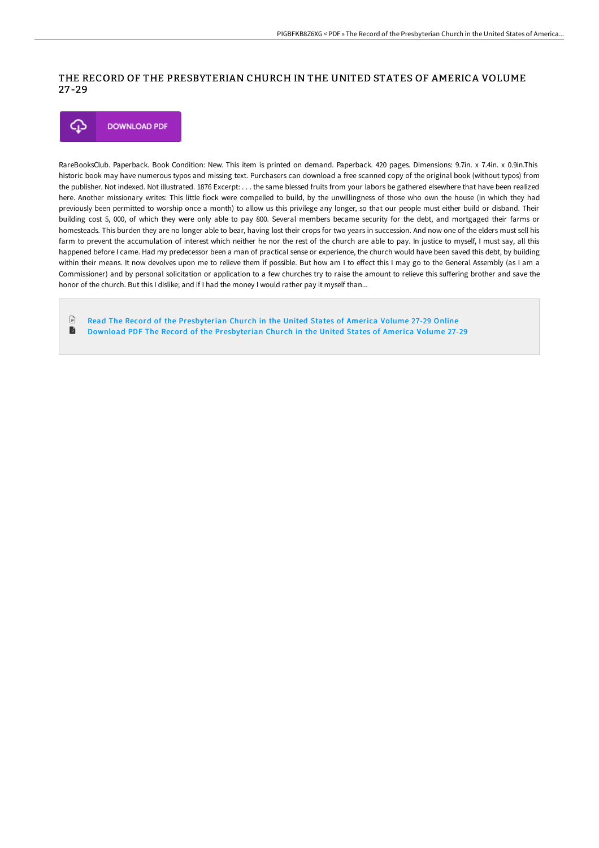# THE RECORD OF THE PRESBYTERIAN CHURCH IN THE UNITED STATES OF AMERICA VOLUME 27 -29



RareBooksClub. Paperback. Book Condition: New. This item is printed on demand. Paperback. 420 pages. Dimensions: 9.7in. x 7.4in. x 0.9in.This historic book may have numerous typos and missing text. Purchasers can download a free scanned copy of the original book (without typos) from the publisher. Not indexed. Not illustrated. 1876 Excerpt: . . . the same blessed fruits from your labors be gathered elsewhere that have been realized here. Another missionary writes: This little flock were compelled to build, by the unwillingness of those who own the house (in which they had previously been permitted to worship once a month) to allow us this privilege any longer, so that our people must either build or disband. Their building cost 5, 000, of which they were only able to pay 800. Several members became security for the debt, and mortgaged their farms or homesteads. This burden they are no longer able to bear, having lost their crops for two years in succession. And now one of the elders must sell his farm to prevent the accumulation of interest which neither he nor the rest of the church are able to pay. In justice to myself, I must say, all this happened before I came. Had my predecessor been a man of practical sense or experience, the church would have been saved this debt, by building within their means. It now devolves upon me to relieve them if possible. But how am I to effect this I may go to the General Assembly (as I am a Commissioner) and by personal solicitation or application to a few churches try to raise the amount to relieve this suffering brother and save the honor of the church. But this I dislike; and if I had the money I would rather pay it myself than...

 $\Box$ Read The Record of the [Presbyterian](http://techno-pub.tech/the-record-of-the-presbyterian-church-in-the-uni.html) Church in the United States of America Volume 27-29 Online  $\blacktriangleright$ Download PDF The Record of the [Presbyterian](http://techno-pub.tech/the-record-of-the-presbyterian-church-in-the-uni.html) Church in the United States of America Volume 27-29